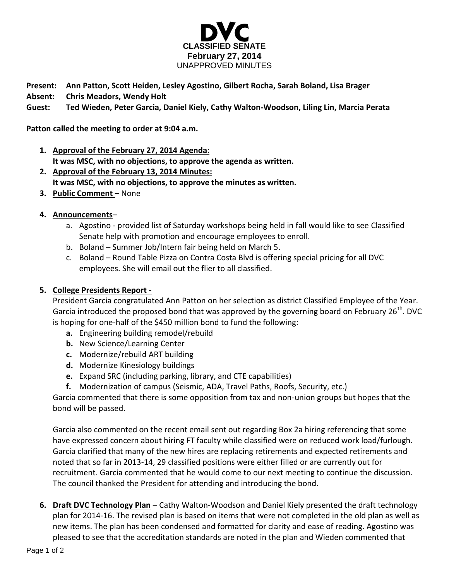

**Present: Ann Patton, Scott Heiden, Lesley Agostino, Gilbert Rocha, Sarah Boland, Lisa Brager**

**Absent: Chris Meadors, Wendy Holt**

**Guest: Ted Wieden, Peter Garcia, Daniel Kiely, Cathy Walton-Woodson, Liling Lin, Marcia Perata**

**Patton called the meeting to order at 9:04 a.m.**

- **1. Approval of the February 27, 2014 Agenda: It was MSC, with no objections, to approve the agenda as written.**
- **2. Approval of the February 13, 2014 Minutes: It was MSC, with no objections, to approve the minutes as written.**
- **3. Public Comment** None
- **4. Announcements**
	- a. Agostino provided list of Saturday workshops being held in fall would like to see Classified Senate help with promotion and encourage employees to enroll.
	- b. Boland Summer Job/Intern fair being held on March 5.
	- c. Boland Round Table Pizza on Contra Costa Blvd is offering special pricing for all DVC employees. She will email out the flier to all classified.

## **5. College Presidents Report -**

President Garcia congratulated Ann Patton on her selection as district Classified Employee of the Year. Garcia introduced the proposed bond that was approved by the governing board on February 26<sup>th</sup>. DVC is hoping for one-half of the \$450 million bond to fund the following:

- **a.** Engineering building remodel/rebuild
- **b.** New Science/Learning Center
- **c.** Modernize/rebuild ART building
- **d.** Modernize Kinesiology buildings
- **e.** Expand SRC (including parking, library, and CTE capabilities)
- **f.** Modernization of campus (Seismic, ADA, Travel Paths, Roofs, Security, etc.)

Garcia commented that there is some opposition from tax and non-union groups but hopes that the bond will be passed.

Garcia also commented on the recent email sent out regarding Box 2a hiring referencing that some have expressed concern about hiring FT faculty while classified were on reduced work load/furlough. Garcia clarified that many of the new hires are replacing retirements and expected retirements and noted that so far in 2013-14, 29 classified positions were either filled or are currently out for recruitment. Garcia commented that he would come to our next meeting to continue the discussion. The council thanked the President for attending and introducing the bond.

**6. Draft DVC Technology Plan** – Cathy Walton-Woodson and Daniel Kiely presented the draft technology plan for 2014-16. The revised plan is based on items that were not completed in the old plan as well as new items. The plan has been condensed and formatted for clarity and ease of reading. Agostino was pleased to see that the accreditation standards are noted in the plan and Wieden commented that